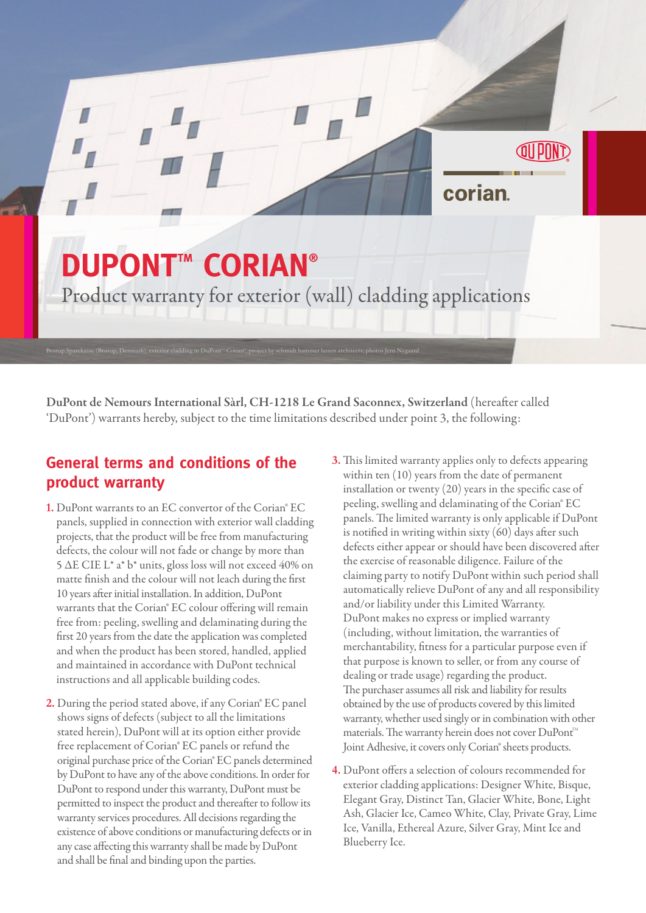## **DUPONT<sup>™</sup> CORIAN®**

Brørup Sparekasse (Brørup, Denmark), exterior cladding in DuPont™ Corian", project by schmidt hammer lassen architects; photos Jens Nygaard

Product warranty for exterior (wall) cladding applications

DuPont de Nemours International Sàrl, CH-1218 Le Grand Saconnex, Switzerland (hereafter called 'DuPont') warrants hereby, subject to the time limitations described under point 3, the following:

## **General terms and conditions of the product warranty**

- **1.** DuPont warrants to an EC convertor of the Corian® EC panels, supplied in connection with exterior wall cladding projects, that the product will be free from manufacturing defects, the colour will not fade or change by more than 5 ΔE CIE L\* a\* b\* units, gloss loss will not exceed 40% on matte finish and the colour will not leach during the first 10 years after initial installation. In addition, DuPont warrants that the Corian® EC colour offering will remain free from: peeling, swelling and delaminating during the first 20 years from the date the application was completed and when the product has been stored, handled, applied and maintained in accordance with DuPont technical instructions and all applicable building codes.
- **2.** During the period stated above, if any Corian® EC panel shows signs of defects (subject to all the limitations stated herein), DuPont will at its option either provide free replacement of Corian® EC panels or refund the original purchase price of the Corian® EC panels determined by DuPont to have any of the above conditions. In order for DuPont to respond under this warranty, DuPont must be permitted to inspect the product and thereafter to follow its warranty services procedures. All decisions regarding the existence of above conditions or manufacturing defects or in any case affecting this warranty shall be made by DuPont and shall be final and binding upon the parties.
- **3.** This limited warranty applies only to defects appearing within ten (10) years from the date of permanent installation or twenty (20) years in the specific case of peeling, swelling and delaminating of the Corian® EC panels. The limited warranty is only applicable if DuPont is notified in writing within sixty (60) days after such defects either appear or should have been discovered after the exercise of reasonable diligence. Failure of the claiming party to notify DuPont within such period shall automatically relieve DuPont of any and all responsibility and/or liability under this Limited Warranty. DuPont makes no express or implied warranty (including, without limitation, the warranties of merchantability, fitness for a particular purpose even if that purpose is known to seller, or from any course of dealing or trade usage) regarding the product. The purchaser assumes all risk and liability for results obtained by the use of products covered by this limited warranty, whether used singly or in combination with other materials. The warranty herein does not cover DuPont<sup>M</sup> Joint Adhesive, it covers only Corian® sheets products.

corian

**4.** DuPont offers a selection of colours recommended for exterior cladding applications: Designer White, Bisque, Elegant Gray, Distinct Tan, Glacier White, Bone, Light Ash, Glacier Ice, Cameo White, Clay, Private Gray, Lime Ice, Vanilla, Ethereal Azure, Silver Gray, Mint Ice and Blueberry Ice.